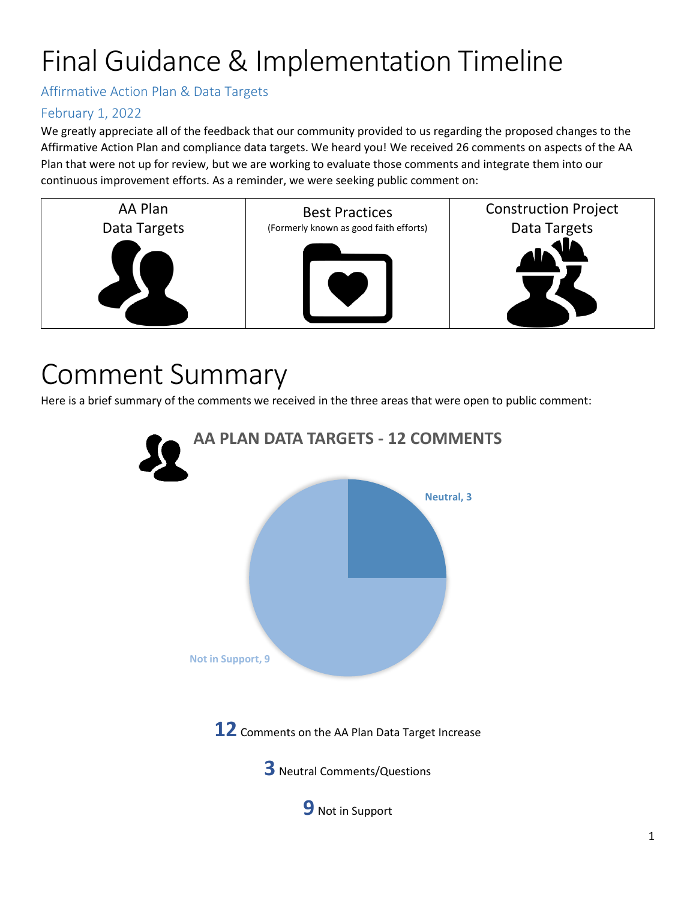# Final Guidance & Implementation Timeline

Affirmative Action Plan & Data Targets

### February 1, 2022

We greatly appreciate all of the feedback that our community provided to us regarding the proposed changes to the Affirmative Action Plan and compliance data targets. We heard you! We received 26 comments on aspects of the AA Plan that were not up for review, but we are working to evaluate those comments and integrate them into our continuous improvement efforts. As a reminder, we were seeking public comment on:



## Comment Summary

Here is a brief summary of the comments we received in the three areas that were open to public comment:

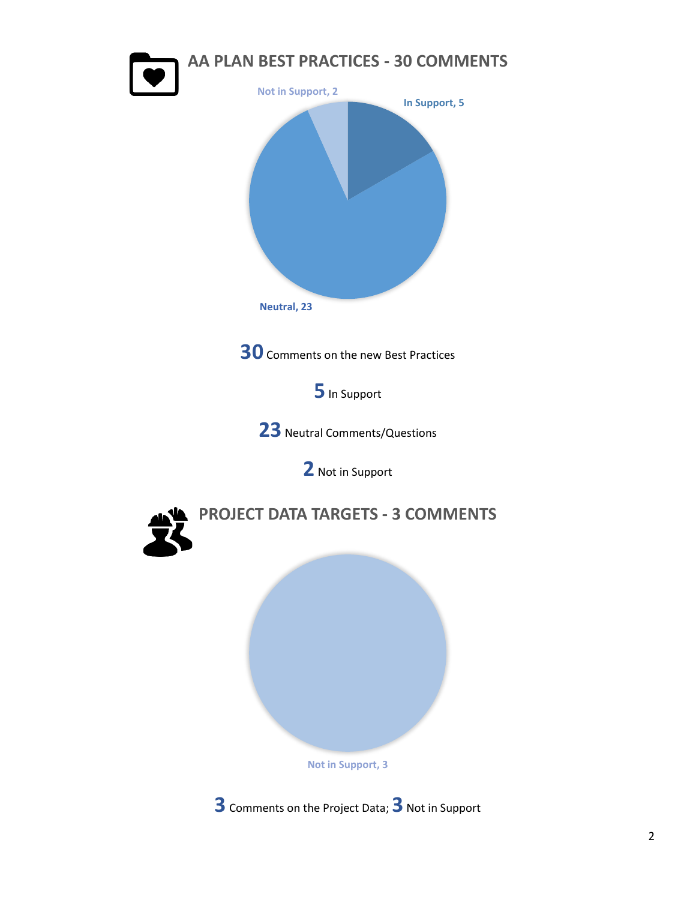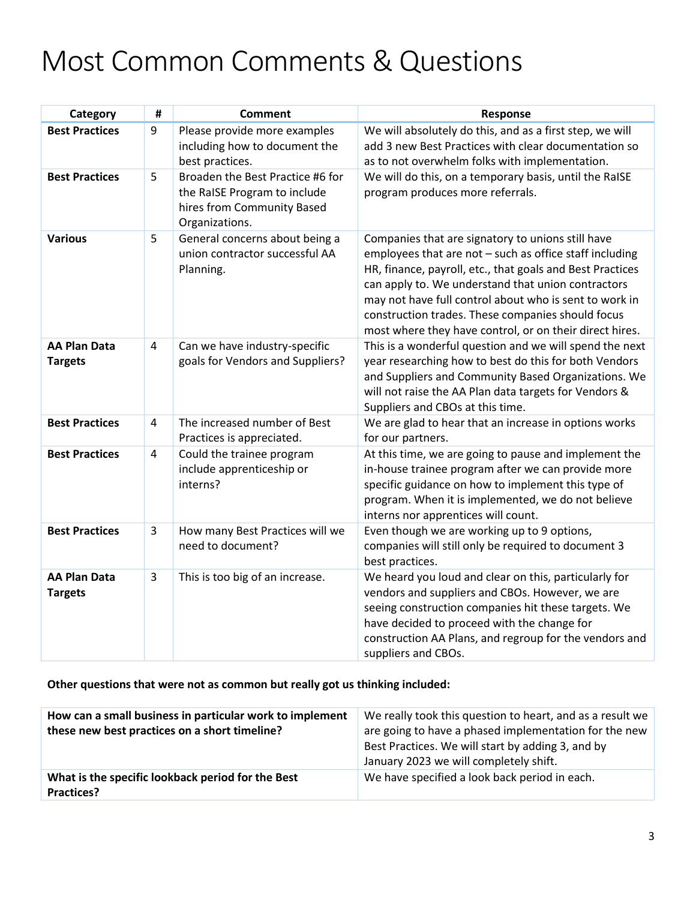# Most Common Comments & Questions

| Category                              | Ħ              | <b>Comment</b>                                                                                                   | Response                                                                                                                                                                                                                                                                                                                                                                                                  |
|---------------------------------------|----------------|------------------------------------------------------------------------------------------------------------------|-----------------------------------------------------------------------------------------------------------------------------------------------------------------------------------------------------------------------------------------------------------------------------------------------------------------------------------------------------------------------------------------------------------|
| <b>Best Practices</b>                 | 9              | Please provide more examples<br>including how to document the<br>best practices.                                 | We will absolutely do this, and as a first step, we will<br>add 3 new Best Practices with clear documentation so<br>as to not overwhelm folks with implementation.                                                                                                                                                                                                                                        |
| <b>Best Practices</b>                 | 5              | Broaden the Best Practice #6 for<br>the RaISE Program to include<br>hires from Community Based<br>Organizations. | We will do this, on a temporary basis, until the RaISE<br>program produces more referrals.                                                                                                                                                                                                                                                                                                                |
| <b>Various</b>                        | 5              | General concerns about being a<br>union contractor successful AA<br>Planning.                                    | Companies that are signatory to unions still have<br>employees that are not - such as office staff including<br>HR, finance, payroll, etc., that goals and Best Practices<br>can apply to. We understand that union contractors<br>may not have full control about who is sent to work in<br>construction trades. These companies should focus<br>most where they have control, or on their direct hires. |
| <b>AA Plan Data</b><br><b>Targets</b> | 4              | Can we have industry-specific<br>goals for Vendors and Suppliers?                                                | This is a wonderful question and we will spend the next<br>year researching how to best do this for both Vendors<br>and Suppliers and Community Based Organizations. We<br>will not raise the AA Plan data targets for Vendors &<br>Suppliers and CBOs at this time.                                                                                                                                      |
| <b>Best Practices</b>                 | $\overline{4}$ | The increased number of Best<br>Practices is appreciated.                                                        | We are glad to hear that an increase in options works<br>for our partners.                                                                                                                                                                                                                                                                                                                                |
| <b>Best Practices</b>                 | $\overline{4}$ | Could the trainee program<br>include apprenticeship or<br>interns?                                               | At this time, we are going to pause and implement the<br>in-house trainee program after we can provide more<br>specific guidance on how to implement this type of<br>program. When it is implemented, we do not believe<br>interns nor apprentices will count.                                                                                                                                            |
| <b>Best Practices</b>                 | $\overline{3}$ | How many Best Practices will we<br>need to document?                                                             | Even though we are working up to 9 options,<br>companies will still only be required to document 3<br>best practices.                                                                                                                                                                                                                                                                                     |
| <b>AA Plan Data</b><br><b>Targets</b> | 3              | This is too big of an increase.                                                                                  | We heard you loud and clear on this, particularly for<br>vendors and suppliers and CBOs. However, we are<br>seeing construction companies hit these targets. We<br>have decided to proceed with the change for<br>construction AA Plans, and regroup for the vendors and<br>suppliers and CBOs.                                                                                                           |

**Other questions that were not as common but really got us thinking included:**

| How can a small business in particular work to implement<br>these new best practices on a short timeline? | We really took this question to heart, and as a result we<br>are going to have a phased implementation for the new<br>Best Practices. We will start by adding 3, and by<br>January 2023 we will completely shift. |
|-----------------------------------------------------------------------------------------------------------|-------------------------------------------------------------------------------------------------------------------------------------------------------------------------------------------------------------------|
| What is the specific lookback period for the Best<br>Practices?                                           | We have specified a look back period in each.                                                                                                                                                                     |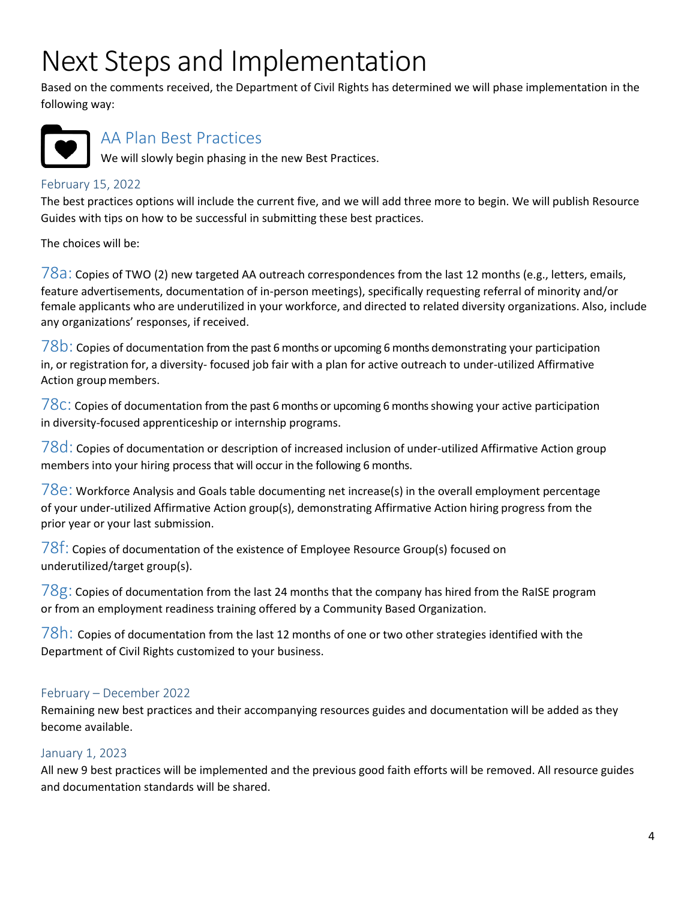## Next Steps and Implementation

Based on the comments received, the Department of Civil Rights has determined we will phase implementation in the following way:



## AA Plan Best Practices

We will slowly begin phasing in the new Best Practices.

#### February 15, 2022

The best practices options will include the current five, and we will add three more to begin. We will publish Resource Guides with tips on how to be successful in submitting these best practices.

The choices will be:

 $78a$ : Copies of TWO (2) new targeted AA outreach correspondences from the last 12 months (e.g., letters, emails, feature advertisements, documentation of in-person meetings), specifically requesting referral of minority and/or female applicants who are underutilized in your workforce, and directed to related diversity organizations. Also, include any organizations' responses, if received.

 $78$ b: Copies of documentation from the past 6 months or upcoming 6 months demonstrating your participation in, or registration for, a diversity- focused job fair with a plan for active outreach to under-utilized Affirmative Action group members.

 $78c$ : Copies of documentation from the past 6 months or upcoming 6 months showing your active participation in diversity-focused apprenticeship or internship programs.

 $78d$ : Copies of documentation or description of increased inclusion of under-utilized Affirmative Action group members into your hiring process that will occur in the following 6 months.

 $78e$ : Workforce Analysis and Goals table documenting net increase(s) in the overall employment percentage of your under-utilized Affirmative Action group(s), demonstrating Affirmative Action hiring progress from the prior year or your last submission.

 $78f$ : Copies of documentation of the existence of Employee Resource Group(s) focused on underutilized/target group(s).

 $78g$ : Copies of documentation from the last 24 months that the company has hired from the RaISE program or from an employment readiness training offered by a Community Based Organization.

 $78h$ : Copies of documentation from the last 12 months of one or two other strategies identified with the Department of Civil Rights customized to your business.

### February – December 2022

Remaining new best practices and their accompanying resources guides and documentation will be added as they become available.

### January 1, 2023

All new 9 best practices will be implemented and the previous good faith efforts will be removed. All resource guides and documentation standards will be shared.